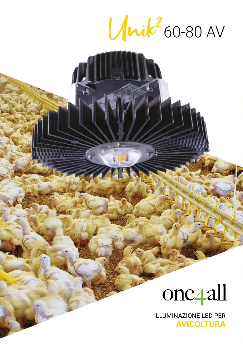Which 60-80 AV



**ILLUMINAZIONE LED PER AVICOLTURA**